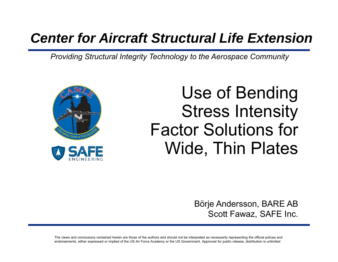#### *Center for Aircraft Structural Life Extension*

*Providing Structural Integrity Technology to the Aerospace Community*



#### Use of Bending Stress Intensity Factor Solutions for Wide, Thin Plates

Börje Andersson, BARE AB Scott Fawaz, SAFE Inc.

The views and conclusions contained herein are those of the authors and should not be interpreted as necessarily representing the official polices and endorsements, either expressed or implied of the US Air Force Academy or the US Government. Approved for public release, distribution is unlimited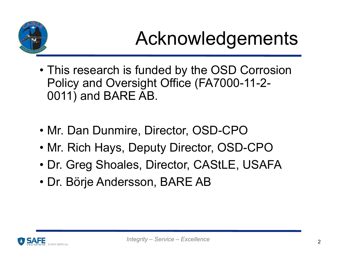

### Acknowledgements

- This research is funded by the OSD Corrosion Policy and Oversight Office (FA7000-11-2- 0011) and BARE AB.
- Mr. Dan Dunmire, Director, OSD-CPO
- Mr. Rich Hays, Deputy Director, OSD-CPO
- Dr. Greg Shoales, Director, CAStLE, USAFA
- Dr. Börje Andersson, BARE AB

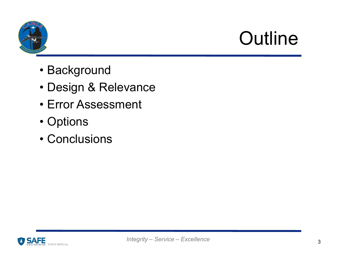

## **Outline**

- Background
- Design & Relevance
- Error Assessment
- Options
- Conclusions

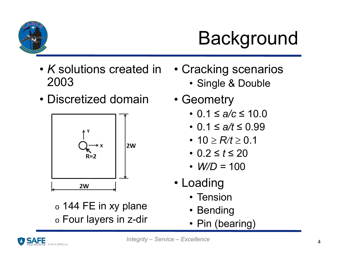

# **Background**

- *K* solutions created in 2003
- Discretized domain



 $\,$  144 FE in xy plane  $\circ$  Four layers in z-dir

- Cracking scenarios
	- Single & Double
- Geometry
	- 0.1 ≤ *a/c* ≤ 10.0
	- 0.1 ≤ *a/t* ≤ 0.99
	- 10  $\geq$   $R$ / $t$   $\geq$  0.1
	- 0.2 ≤ *t* ≤ 20
	- *W/D =* 100
- Loading
	- Tension
	- Bending
	- Pin (bearing)

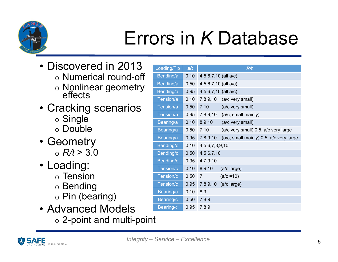

### Errors in *K* Database

- Discovered in 2013
	- $\circ$  Numerical round-off
	- o。Nonlinear geometry<br>effects
- Cracking scenarios
	- $\circ$  Single
	- o Double
- Geometry o *R/t* > 3.0
- Loading:
	- $\circ$  Tension
	- $\, \circ \,$  Bending
	- $_\circ$  Pin (bearing)
- Advanced Models
	- $\, \circ \,$  2-point and multi-point

| Loading/Tip | a/t  |                        | R/t                                     |
|-------------|------|------------------------|-----------------------------------------|
| Bending/a   | 0.10 | 4,5,6,7,10 (all a/c)   |                                         |
| Bending/a   | 0.50 | $4,5,6,7,10$ (all a/c) |                                         |
| Bending/a   | 0.95 | 4,5,6,7,10 (all a/c)   |                                         |
| Tension/a   | 0.10 |                        | 7,8,9,10 (a/c very small)               |
| Tension/a   | 0.50 | 7,10                   | (a/c very small)                        |
| Tension/a   | 0.95 | 7,8,9,10               | (a/c, small mainly)                     |
| Bearing/a   | 0.10 | 8,9,10                 | (a/c very small)                        |
| Bearing/a   | 0.50 | 7,10                   | (a/c very small) 0.5, a/c very large    |
| Bearing/a   | 0.95 | 7,8,9,10               | (a/c, small mainly) 0.5, a/c very large |
| Bending/c   | 0.10 | 4,5,6,7,8,9,10         |                                         |
| Bending/c   | 0.50 | 4,5,6,7,10             |                                         |
| Bending/c   | 0.95 | 4,7,9,10               |                                         |
| Tension/c   | 0.10 | 8,9,10                 | (a/c large)                             |
| Tension/c   | 0.50 | $\overline{7}$         | $(a/c = 10)$                            |
| Tension/c   | 0.95 | 7,8,9,10               | (a/c large)                             |
| Bearing/c   | 0.10 | 8,9                    |                                         |
| Bearing/c   | 0.50 | 7,8,9                  |                                         |
| Bearing/c   | 0.95 | 7,8,9                  |                                         |

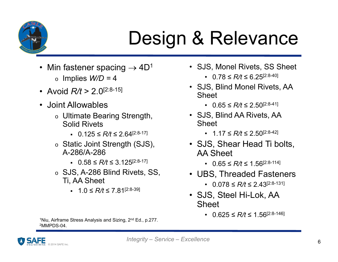

### Design & Relevance

- Min fastener spacing  $\rightarrow$  4D $^{\rm 1}$ 
	- o Implies *W/D =* 4
- Avoid *R/t* > 2.0[2:8-15]
- Joint Allowables
	- $\circ$  Ultimate Bearing Strength, Solid Rivets
		- 0.125 ≤ *R/t* ≤ 2.64[2:8-17]
	- o Static Joint Strength (SJS), A-286/A-286
		- 0.58 ≤ *R/t* ≤ 3.125[2:8-17]
	- o SJS, A-286 Blind Rivets, SS, Ti, AA Sheet
		- 1.0 ≤ *R/t* ≤ 7.81[2:8-39]
- SJS, Monel Rivets, SS Sheet
	- 0.78 ≤ *R/t* ≤ 6.25[2:8-40]
- SJS, Blind Monel Rivets, AA Sheet
	- 0.65 ≤ *R/t* ≤ 2.50[2:8-41]
- SJS, Blind AA Rivets, AA Sheet
	- 1.17 ≤ *R/t* ≤ 2.50[2:8-42]
- SJS, Shear Head Ti bolts, AA Sheet
	- 0.65 ≤ *R/t* ≤ 1.56[2:8-114]
- UBS, Threaded Fasteners
	- 0.078 ≤ *R/t* ≤ 2.43[2:8-131]
- SJS, Steel Hi-Lok, AA **Sheet** 
	- 0.625 ≤ *R/t* ≤ 1.56[2:8-146]

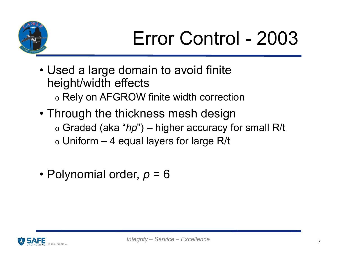

# Error Control - 2003

- Used a large domain to avoid finite height/width effects
	- $\circ$  Rely on AFGROW finite width correction
- Through the thickness mesh design
	- o Graded (aka "*hp*") higher accuracy for small R/t
	- $\circ$  Uniform 4 equal layers for large R/t
- Polynomial order, *p* = 6

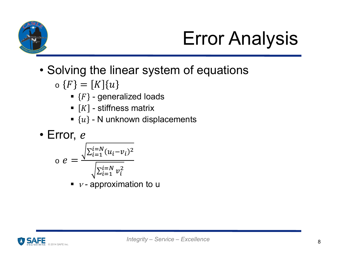

# Error Analysis

- Solving the linear system of equations
	- $\{F\} = |K| \{u$ 
		- $\textcolor{red}{\bullet}$  { $F\}$  generalized loads
		- $\blacksquare$   $\lceil K \rceil$  stiffness matrix
		- $\bullet\,\left\{ u\right\}$  N unknown displacements

• Error, 
$$
e
$$
  
\n
$$
e = \frac{\sqrt{\sum_{i=1}^{i=N} (u_i - v_i)^2}}{\sqrt{\sum_{i=1}^{i=N} v_i^2}}
$$

п ■ *ν* - approximation to u

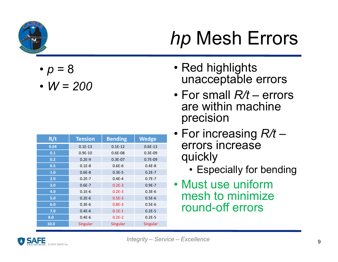

- *p* = 8
- *W = 200*

| R/t  | <b>Tension</b> | <b>Bending</b> | <b>Wedge</b>    |
|------|----------------|----------------|-----------------|
| 0.04 | $0.1E-13$      | $0.1E-12$      | $0.6E-13$       |
| 0.1  | $0.9E-10$      | $0.6E-08$      | $0.3E-09$       |
| 0.2  | $0.2E-9$       | $0.3E-07$      | $0.7E-09$       |
| 0.5  | $0.1E-8$       | $0.6E - 6$     | $0.4E-8$        |
| 1.0  | $0.6E-8$       | $0.3E - 5$     | $0.2E - 7$      |
| 2.0  | $0.2E - 7$     | $0.4E - 4$     | $0.7E - 7$      |
| 3.0  | $0.6E - 7$     | $0.2E-3$       | $0.9E - 7$      |
| 4.0  | $0.1E-6$       | $0.2E - 3$     | $0.3E-6$        |
| 5.0  | $0.2E-6$       | $0.5E-3$       | $0.5E-6$        |
| 6.0  | $0.3E-6$       | $0.8E - 3$     | $0.5E-6$        |
| 7.0  | $0.4E-6$       | $0.1E-1$       | $0.2E-5$        |
| 8.0  | $0.4E-6$       | $0.2E-2$       | $0.2E - 5$      |
| 10.0 | Singular       | Singular       | <b>Singular</b> |

# *hp* Mesh Errors

- Red highlights unacceptable errors
- For small *R/t* errors are within machine precision
- For increasing *R/t* errors increase quickly
	- Especially for bending
- Must use uniform mesh to minimize round-off errors

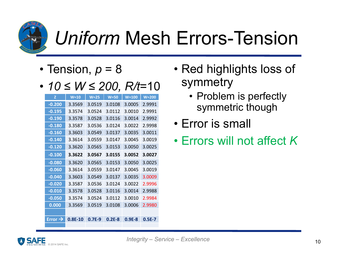

### *Uniform* Mesh Errors-Tension

- Tension, *p* = 8
- *10 ≤ W ≤ 200, R/t*=10

| Z                   | $W=10$    | $W = 25$ | $W = 50$ | $W=100$  | $W = 200$ |
|---------------------|-----------|----------|----------|----------|-----------|
| $-0.200$            | 3.3569    | 3.0519   | 3.0108   | 3.0005   | 2.9991    |
| $-0.195$            | 3.3574    | 3.0524   | 3.0112   | 3.0010   | 2.9991    |
| $-0.190$            | 3.3578    | 3.0528   | 3.0116   | 3.0014   | 2.9992    |
| $-0.180$            | 3.3587    | 3.0536   | 3.0124   | 3.0022   | 2.9998    |
| $-0.160$            | 3.3603    | 3.0549   | 3.0137   | 3.0035   | 3.0011    |
| $-0.140$            | 3.3614    | 3.0559   | 3.0147   | 3.0045   | 3.0019    |
| $-0.120$            | 3.3620    | 3.0565   | 3.0153   | 3.0050   | 3.0025    |
| $-0.100$            | 3.3622    | 3.0567   | 3.0155   | 3.0052   | 3.0027    |
| $-0.080$            | 3.3620    | 3.0565   | 3.0153   | 3.0050   | 3.0025    |
| $-0.060$            | 3.3614    | 3.0559   | 3.0147   | 3.0045   | 3.0019    |
| $-0.040$            | 3.3603    | 3.0549   | 3.0137   | 3.0035   | 3.0009    |
| $-0.020$            | 3.3587    | 3.0536   | 3.0124   | 3.0022   | 2.9996    |
| $-0.010$            | 3.3578    | 3.0528   | 3.0116   | 3.0014   | 2.9988    |
| $-0.050$            | 3.3574    | 3.0524   | 3.0112   | 3.0010   | 2.9984    |
| 0.000               | 3.3569    | 3.0519   | 3.0108   | 3.0006   | 2.9980    |
|                     |           |          |          |          |           |
| Error $\rightarrow$ | $0.8E-10$ | $0.7F-9$ | $0.2E-8$ | $0.9E-8$ | $0.5E-7$  |
|                     |           |          |          |          |           |

- Red highlights loss of symmetry
	- Problem is perfectly symmetric though
- Error is small
- Errors will not affect *K*

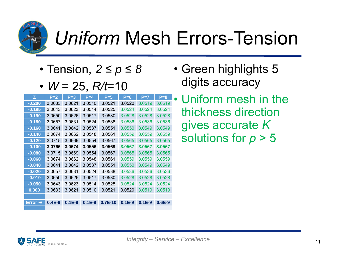

### *Uniform* Mesh Errors-Tension

- Tension, *2 ≤ p ≤ 8*
- *W* = 25, *R/t*=10

| z                   | $P=2$    | $P = 3$  | $P = 4$  | $P=5$     | $P=6$    | $P=7$    | $P = 8$  |
|---------------------|----------|----------|----------|-----------|----------|----------|----------|
| $-0.200$            | 3.0633   | 3.0621   | 3.0510   | 3.0521    | 3.0520   | 3.0519   | 3.0519   |
| $-0.195$            | 3.0643   | 3.0623   | 3.0514   | 3.0525    | 3.0524   | 3.0524   | 3.0524   |
| $-0.190$            | 3.0650   | 3.0626   | 3.0517   | 3.0530    | 3.0528   | 3.0528   | 3.0528   |
| $-0.180$            | 3.0657   | 3.0631   | 3.0524   | 3.0538    | 3.0536   | 3.0536   | 3.0536   |
| $-0.160$            | 3.0641   | 3.0642   | 3.0537   | 3.0551    | 3.0550   | 3.0549   | 3.0549   |
| $-0.140$            | 3.0674   | 3.0662   | 3.0548   | 3.0561    | 3.0559   | 3.0559   | 3.0559   |
| $-0.120$            | 3.0715   | 3.0669   | 3.0554   | 3.0567    | 3.0565   | 3.0565   | 3.0565   |
| $-0.100$            | 3.0766   | 3.0674   | 3.0556   | 3.0569    | 3.0567   | 3.0567   | 3.0567   |
| $-0.080$            | 3.0715   | 3.0669   | 3.0554   | 3.0567    | 3.0565   | 3.0565   | 3.0565   |
| $-0.060$            | 3.0674   | 3.0662   | 3.0548   | 3.0561    | 3.0559   | 3.0559   | 3.0559   |
| $-0.040$            | 3.0641   | 3.0642   | 3.0537   | 3.0551    | 3.0550   | 3.0549   | 3.0549   |
| $-0.020$            | 3.0657   | 3.0631   | 3.0524   | 3.0538    | 3.0536   | 3.0536   | 3.0536   |
| $-0.010$            | 3.0650   | 3.0626   | 3.0517   | 3.0530    | 3.0528   | 3.0528   | 3.0528   |
| $-0.050$            | 3.0643   | 3.0623   | 3.0514   | 3.0525    | 3.0524   | 3.0524   | 3.0524   |
| 0.000               | 3.0633   | 3.0621   | 3.0510   | 3.0521    | 3.0520   | 3.0519   | 3.0519   |
|                     |          |          |          |           |          |          |          |
| Error $\rightarrow$ | $0.4E-9$ | $0.1E-9$ | $0.1E-9$ | $0.7E-10$ | $0.1E-9$ | $0.1E-9$ | $0.6E-9$ |
|                     |          |          |          |           |          |          |          |

- Green highlights 5 digits accuracy
- Uniform mesh in the thickness direction gives accurate *K*  solutions for *p* > 5

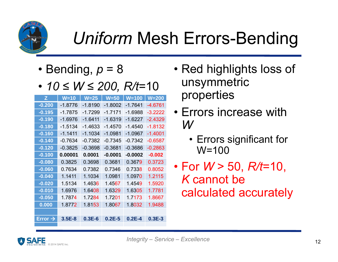

### *Uniform* Mesh Errors-Bending

- Bending, *p* = 8
- *10 ≤ W ≤ 200, R/t*=10

| z                   | W=10      | $W = 25$  | <b>W=50</b> | $W = 100$  | $W = 200$ |
|---------------------|-----------|-----------|-------------|------------|-----------|
| $-0.200$            | -1.8776   | -1.8190   | $-1.8002$   | $-1.7641$  | -4.6761   |
| $-0.195$            | $-1.7875$ | $-1.7299$ | $-1.7171$   | $-1.6988$  | $-3.2222$ |
| $-0.190$            | $-1.6976$ | $-1.6411$ | $-1.6319$   | $-1.6227$  | $-2.4329$ |
| $-0.180$            | -1.5134   | -1.4633   | -1.4570     | -1.4540    | -1.8132   |
| $-0.160$            | $-1.1411$ | $-1.1034$ | $-1.0981$   | $-1.0967$  | $-1.4001$ |
| $-0.140$            | -0.7634   | $-0.7382$ | -0.7345     | $-0.7342$  | $-0.6587$ |
| $-0.120$            | $-0.3825$ | $-0.3698$ | $-0.3681$   | $-0.3686$  | $-0.2863$ |
| $-0.100$            | 0.00001   | 0.0001    | -0.0001     | $-0.0002$  | $-0.002$  |
| $-0.080$            | 0.3825    | 0.3698    | 0.3681      | 0.3679     | 0.3723    |
| $-0.060$            | 0.7634    | 0.7382    | 0.7346      | 0.7338     | 0.8052    |
| $-0.040$            | 1.1411    | 1.1034    | 1.0981      | 1.0970     | 1.2115    |
| $-0.020$            | 1.5134    | 1.4636    | 1.4567      | 1.4549     | 1.5920    |
| $-0.010$            | 1.6976    | 1.6408    | 1.6329      | 1.6305     | 1.7781    |
| $-0.050$            | 1.7874    | 1.7284    | 1.7201      | 1.7173     | 1.8667    |
| 0.000               | 1.8772    | 1.8153    | 1.8067      | 1.8032     | 1.9488    |
|                     |           |           |             |            |           |
| Error $\rightarrow$ | $3.5E-8$  | $0.3E-6$  | $0.2E - 5$  | $0.2E - 4$ | $0.3E-3$  |
|                     |           |           |             |            |           |

- Red highlights loss of unsymmetric properties
- Errors increase with *W*
	- Errors significant for W=100
- For *W* > 50, *R/t*=10, *K* cannot be calculated accurately

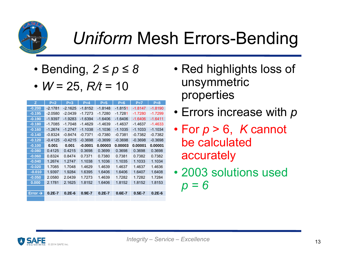

### *Uniform* Mesh Errors-Bending

- Bending, *2 ≤ p ≤ 8*
- *W* = 25, *R/t* = 10

| Z.                  | $P=2$      | $P=3$     | $P=4$      | $P=5$      | $P=6$      | $P=7$      | $P=8$     |
|---------------------|------------|-----------|------------|------------|------------|------------|-----------|
| $-0.200$            | $-2.1781$  | $-2.1625$ | $-1.8152$  | $-1.8148$  | $-1.8151$  | $-1.8147$  | $-1.8190$ |
| $-0.195$            | $-2.0580$  | $-2.0439$ | $-1.7273$  | $-1.7280$  | $-1.7281$  | $-1.7280$  | $-1.7299$ |
| $-0.190$            | $-1.9397$  | $-1.9283$ | $-1.6394$  | $-1.6406$  | $-1.6406$  | $-1.6406$  | $-1.6411$ |
| $-0.180$            | $-1.7085$  | $-1.7048$ | $-1.4629$  | $-1.4639$  | $-1.4637$  | $-1.4637$  | $-1.4633$ |
| $-0.160$            | $-1.2674$  | $-1.2747$ | $-1.1038$  | $-1.1036$  | $-1.1035$  | $-1.1033$  | $-1.1034$ |
| $-0.140$            | $-0.8324$  | $-0.8474$ | $-0.7371$  | $-0.7380$  | $-0.7381$  | $-0.7382$  | $-0.7382$ |
| $-0.120$            | $-0.4125$  | $-0.4215$ | $-0.3698$  | $-0.3699$  | $-0.3698$  | $-0.3698$  | $-0.3698$ |
| $-0.100$            | 0.001      | 0.001     | $-0.0001$  | 0.00003    | 0.00003    | 0.00001    | 0.00001   |
| $-0.080$            | 0.4125     | 0.4215    | 0.3698     | 0.3699     | 0.3698     | 0.3698     | 0.3698    |
| $-0.060$            | 0.8324     | 0.8474    | 0.7371     | 0.7380     | 0.7381     | 0.7382     | 0.7382    |
| $-0.040$            | 1.2674     | 1.2747    | 1.1038     | 1.1036     | 1.1035     | 1.1033     | 1.1034    |
| $-0.020$            | 1.7085     | 1.7048    | 1.4629     | 1.4639     | 1.4637     | 1.4637     | 1.4636    |
| $-0.010$            | 1.9397     | 1.9284    | 1.6395     | 1.6406     | 1.6406     | 1.6407     | 1.6408    |
| $-0.050$            | 2.0580     | 2.0439    | 1.7273     | 1.4639     | 1.7282     | 1.7282     | 1.7284    |
| 0.000               | 2.1781     | 2.1625    | 1.8152     | 1.6406     | 1.8152     | 1.8152     | 1.8153    |
|                     |            |           |            |            |            |            |           |
| Error $\rightarrow$ | $0.2E - 7$ | $0.2E-6$  | $0.9E - 7$ | $0.2E - 7$ | $0.6E - 7$ | $0.5E - 7$ | $0.2E-6$  |
|                     |            |           |            |            |            |            |           |

- Red highlights loss of unsymmetric properties
- Errors increase with *p*
- For *p* > 6, *K* cannot be calculated accurately
- 2003 solutions used *p = 6*

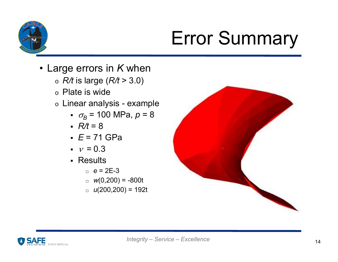

## Error Summary

- Large errors in *K* when
	- o *R/t* is large (*R/t* > 3.0)
	- $\, \circ \,$  Plate is wide
	- $\circ\,$  Linear analysis example
		- *<sup>B</sup>* = 100 MPa, *p* = 8
		- *R/t* = 8
		- *E* = 71 GPa
		- $\sqrt{2} = 0.3$
		- Results
			- □ *e* = 2E-3
			- □ *<sup>w</sup>*(0,200) = -800t
			- □ *<sup>u</sup>*(200,200) = 192t



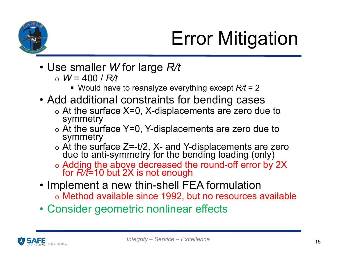

# Error Mitigation

- Use smaller *W* for large *R/t*
	- o *W* = 400 / *R/t*
		- Would have to reanalyze everything except *R/t* = 2
- Add additional constraints for bending cases
	- o $\circ$  At the surface X=0, X-displacements are zero due to symmetry
	- o $\circ$  At the surface Y=0, Y-displacements are zero due to symmetry
	- o。At the surface Z=-t/2, X- and Y-displacements are zero<br>due to anti-symmetry for the bending loading (only)
	- oAdding the above decreased the round-off error by 2X for *R/t*=10 but 2X is not enough
- Implement a new thin-shell FEA formulation
	- o Method available since 1992, but no resources available
- Consider geometric nonlinear effects

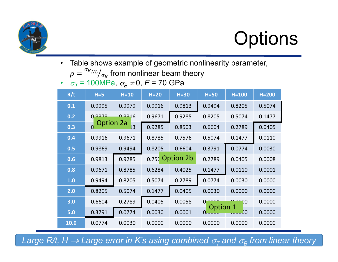

# **Options**

•Table shows example of geometric nonlinearity parameter,

 $\rho =$  $\sigma_{BNL}/_{\sigma_B}$  from nonlinear beam theory

• σ<sub>7</sub> = 100MPa, σ<sub>B</sub> ≠0, *E* = 70 GPa

| R/t  | $H = 5$          | $H=10$         | $H=20$ | $H=30$           | $H=50$             | $H=100$ | $H=200$ |
|------|------------------|----------------|--------|------------------|--------------------|---------|---------|
| 0.1  | 0.9995           | 0.9979         | 0.9916 | 0.9813           | 0.9494             | 0.8205  | 0.5074  |
| 0.2  | 0.0020           | 0.0016         | 0.9671 | 0.9285           | 0.8205             | 0.5074  | 0.1477  |
| 0.3  | <b>Option 2a</b> | $\overline{3}$ | 0.9285 | 0.8503           | 0.6604             | 0.2789  | 0.0405  |
| 0.4  | 0.9916           | 0.9671         | 0.8785 | 0.7576           | 0.5074             | 0.1477  | 0.0110  |
| 0.5  | 0.9869           | 0.9494         | 0.8205 | 0.6604           | 0.3791             | 0.0774  | 0.0030  |
| 0.6  | 0.9813           | 0.9285         |        | $0.75$ Option 2b | 0.2789             | 0.0405  | 0.0008  |
| 0.8  | 0.9671           | 0.8785         | 0.6284 | 0.4025           | 0.1477             | 0.0110  | 0.0001  |
| 1.0  | 0.9494           | 0.8205         | 0.5074 | 0.2789           | 0.0774             | 0.0030  | 0.0000  |
| 2.0  | 0.8205           | 0.5074         | 0.1477 | 0.0405           | 0.0030             | 0.0000  | 0.0000  |
| 3.0  | 0.6604           | 0.2789         | 0.0405 | 0.0058           | $0^-$              | າ0      | 0.0000  |
| 5.0  | 0.3791           | 0.0774         | 0.0030 | 0.0001           | Option 1<br>0.0000 | 0.س.ر   | 0.0000  |
| 10.0 | 0.0774           | 0.0030         | 0.0000 | 0.0000           | 0.0000             | 0.0000  | 0.0000  |

Large R/t, H  $\rightarrow$  Large error in K's using combined  $\sigma_{_{\!T}}$  and  $\sigma_{_{\!B}}$  from linear theory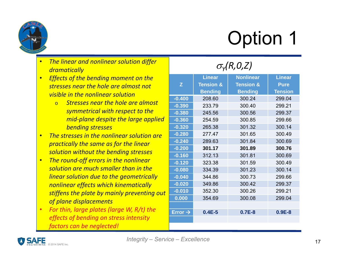

Option 1

- dramatically *<i>Yhe linear and nonlinear solution differ*
- nonlinear effects *stresses near the hole are almost not* o If small, ignore and *visible in the nonlinear solution* • *Effects of the bending moment on the*
	- use *KI\_total = KI\_ten not symmetrical with respect to the KIET and-plane despite the large applied* o *Stresses near the hole are almost bending stresses*
- ••**•** The stresses in the nonlinear solution are o *T* = 100 MPa *solution without the bending stresses practically the same as for the linear*
- o *Bsolution are much smaller than in the* = 30 MPa *The round‐off errors in the nonlinear* o *p* = 8 *linear solution due to the geometrically* o *R/t* = 5, *W/D* = 100 *stiffens the plate by mainly preventing out* o*E* = 71 GPa *of plane displacements* •*nonlinear effects which kinematically*
- o *<sup>=</sup>*0.3 *effects of bending on stress intensity* • *For thin, large plates (large W, R/t) the factors can be neglected!*

|                     | <b>Linear</b>        | <b>Nonlinear</b>     | <b>Linear</b>  |
|---------------------|----------------------|----------------------|----------------|
| Z                   | <b>Tension &amp;</b> | <b>Tension &amp;</b> | <b>Pure</b>    |
|                     | <b>Bending</b>       | <b>Bending</b>       | <b>Tension</b> |
| $-0.400$            | 208.60               | 300.24               | 299.04         |
| $-0.390$            | 233.79               | 300.40               | 299.21         |
| $-0.380$            | 245.56               | 300.56               | 299.37         |
| $-0.360$            | 254.59               | 300.85               | 299.66         |
| $-0.320$            | 265.38               | 301.32               | 300.14         |
| $-0.280$            | 277.47               | 301.65               | 300.49         |
| $-0.240$            | 289.63               | 301.84               | 300.69         |
| $-0.200$            | 301.17               | 301.89               | 300.76         |
| $-0.160$            | 312.13               | 301.81               | 300.69         |
| $-0.120$            | 323.38               | 301.59               | 300.49         |
| $-0.080$            | 334.39               | 301.23               | 300.14         |
| $-0.040$            | 344.86               | 300.73               | 299.66         |
| $-0.020$            | 349.86               | 300.42               | 299.37         |
| $-0.010$            | 352.30               | 300.26               | 299.21         |
| 0.000               | 354.69               | 300.08               | 299.04         |
|                     |                      |                      |                |
| Error $\rightarrow$ | $0.4E-5$             | $0.7E-8$             | $0.9E-8$       |
|                     |                      |                      |                |
|                     |                      |                      |                |

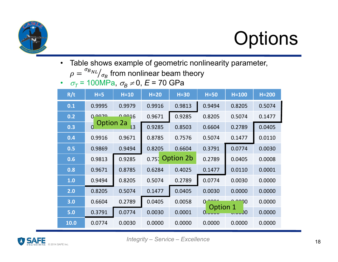

# **Options**

 $\bullet$ Table shows example of geometric nonlinearity parameter,

 $\rho =$  $\sigma_{BNL}/_{\sigma_B}$  from nonlinear beam theory

• σ<sub>7</sub> = 100MPa, σ<sub>B</sub> ≠0, *E* = 70 GPa

| R/t  | $H = 5$          | $H=10$ | $H=20$ | $H=30$          | $H=50$        | $H=100$      | $H=200$ |
|------|------------------|--------|--------|-----------------|---------------|--------------|---------|
| 0.1  | 0.9995           | 0.9979 | 0.9916 | 0.9813          | 0.9494        | 0.8205       | 0.5074  |
| 0.2  | 0.0020           | 0.0016 | 0.9671 | 0.9285          | 0.8205        | 0.5074       | 0.1477  |
| 0.3  | <b>Option 2a</b> | 3      | 0.9285 | 0.8503          | 0.6604        | 0.2789       | 0.0405  |
| 0.4  | 0.9916           | 0.9671 | 0.8785 | 0.7576          | 0.5074        | 0.1477       | 0.0110  |
| 0.5  | 0.9869           | 0.9494 | 0.8205 | 0.6604          | 0.3791        | 0.0774       | 0.0030  |
| 0.6  | 0.9813           | 0.9285 |        | 0.757 Option 2b | 0.2789        | 0.0405       | 0.0008  |
| 0.8  | 0.9671           | 0.8785 | 0.6284 | 0.4025          | 0.1477        | 0.0110       | 0.0001  |
| 1.0  | 0.9494           | 0.8205 | 0.5074 | 0.2789          | 0.0774        | 0.0030       | 0.0000  |
| 2.0  | 0.8205           | 0.5074 | 0.1477 | 0.0405          | 0.0030        | 0.0000       | 0.0000  |
| 3.0  | 0.6604           | 0.2789 | 0.0405 | 0.0058          | 0<br>Option 1 | 70           | 0.0000  |
| 5.0  | 0.3791           | 0.0774 | 0.0030 | 0.0001          | 0.0000        | <u> ეროს</u> | 0.0000  |
| 10.0 | 0.0774           | 0.0030 | 0.0000 | 0.0000          | 0.0000        | 0.0000       | 0.0000  |

![](_page_17_Picture_6.jpeg)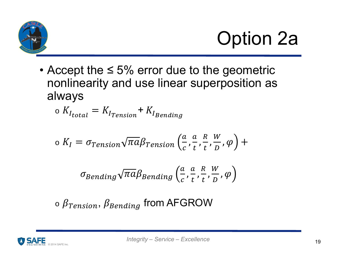![](_page_18_Picture_0.jpeg)

# Option 2a

• Accept the  $\leq 5\%$  error due to the geometric nonlinearity and use linear superposition as always

$$
\circ~K_{I_{total}} = K_{I_{Tension}} + K_{I_{Bending}}
$$

$$
\sigma K_I = \sigma_{Tension} \sqrt{\pi a} \beta_{Tension} \left( \frac{a}{c}, \frac{a}{t}, \frac{R}{t}, \frac{W}{D}, \varphi \right) +
$$

$$
\sigma_{Bending} \sqrt{\pi a} \beta_{Bending}\left(\frac{a}{c}, \frac{a}{t}, \frac{R}{t}, \frac{W}{D}, \varphi\right)
$$

o $\circ$   $\beta_{Tension}$  ,  $\beta_{Bending}$  from AFGROW

![](_page_18_Picture_7.jpeg)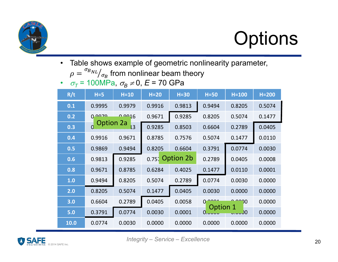![](_page_19_Picture_0.jpeg)

# **Options**

 $\bullet$ Table shows example of geometric nonlinearity parameter,

 $\rho =$  $\sigma_{BNL}/_{\sigma_B}$  from nonlinear beam theory

• σ<sub>7</sub> = 100MPa, σ<sub>B</sub> ≠0, *E* = 70 GPa

| R/t  | $H = 5$          | $H=10$ | $H=20$ | $H=30$             | $H=50$        | $H=100$        | $H=200$ |
|------|------------------|--------|--------|--------------------|---------------|----------------|---------|
| 0.1  | 0.9995           | 0.9979 | 0.9916 | 0.9813             | 0.9494        | 0.8205         | 0.5074  |
| 0.2  | 0.0020           | 0.0016 | 0.9671 | 0.9285             | 0.8205        | 0.5074         | 0.1477  |
| 0.3  | <b>Option 2a</b> | 3      | 0.9285 | 0.8503             | 0.6604        | 0.2789         | 0.0405  |
| 0.4  | 0.9916           | 0.9671 | 0.8785 | 0.7576             | 0.5074        | 0.1477         | 0.0110  |
| 0.5  | 0.9869           | 0.9494 | 0.8205 | 0.6604             | 0.3791        | 0.0774         | 0.0030  |
| 0.6  | 0.9813           | 0.9285 |        | $0.75$ , Option 2b | 0.2789        | 0.0405         | 0.0008  |
| 0.8  | 0.9671           | 0.8785 | 0.6284 | 0.4025             | 0.1477        | 0.0110         | 0.0001  |
| 1.0  | 0.9494           | 0.8205 | 0.5074 | 0.2789             | 0.0774        | 0.0030         | 0.0000  |
| 2.0  | 0.8205           | 0.5074 | 0.1477 | 0.0405             | 0.0030        | 0.0000         | 0.0000  |
| 3.0  | 0.6604           | 0.2789 | 0.0405 | 0.0058             | 0<br>Option 1 | 70             | 0.0000  |
| 5.0  | 0.3791           | 0.0774 | 0.0030 | 0.0001             | 0.0000        | <u> ეროი პ</u> | 0.0000  |
| 10.0 | 0.0774           | 0.0030 | 0.0000 | 0.0000             | 0.0000        | 0.0000         | 0.0000  |

![](_page_19_Picture_6.jpeg)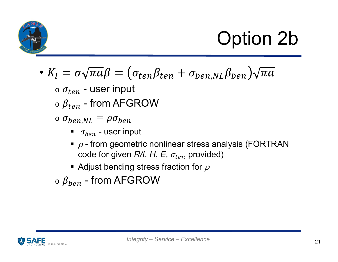![](_page_20_Picture_0.jpeg)

# Option 2b

• 
$$
K_I = \sigma \sqrt{\pi a} \beta = (\sigma_{ten} \beta_{ten} + \sigma_{ben, NL} \beta_{ben}) \sqrt{\pi a}
$$

- $\circ$   $\sigma_{ten}$  user input
- $\circ$   $\beta_{ten}$  from AFGROW
- $\circ$   $\sigma_{ben, NL} = \rho \sigma_{ben}$ 
	- $\bullet$   $\sigma_{ben}$  user input
	- $\overline{\phantom{a}}$   $\rho$  from geometric nonlinear stress analysis (FORTRAN  $\operatorname{code}$  for given  $R\!/\!t$ ,  $H$ ,  $E$ ,  $\sigma_{ten}$  provided)
	- $\overline{\phantom{a}}$  Adjust bending stress fraction for  $\rho$
- $\circ$   $\beta_{ben}$  from AFGROW

![](_page_20_Picture_10.jpeg)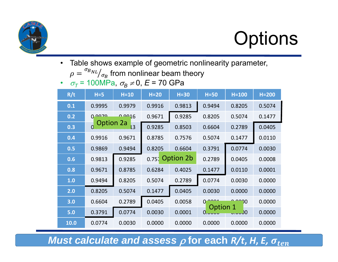![](_page_21_Picture_0.jpeg)

# **Options**

 $\bullet$ Table shows example of geometric nonlinearity parameter,

 $\rho =$  $\sigma_{BNL}/_{\sigma_B}$  from nonlinear beam theory

• σ<sub>7</sub> = 100MPa, σ<sub>B</sub> ≠0, *E* = 70 GPa

| R/t  | $H = 5$          | $H=10$ | $H=20$ | $H=30$           | $H=50$             | $H=100$ | $H=200$ |
|------|------------------|--------|--------|------------------|--------------------|---------|---------|
| 0.1  | 0.9995           | 0.9979 | 0.9916 | 0.9813           | 0.9494             | 0.8205  | 0.5074  |
| 0.2  | 0.0020           | 0.0016 | 0.9671 | 0.9285           | 0.8205             | 0.5074  | 0.1477  |
| 0.3  | <b>Option 2a</b> | 3      | 0.9285 | 0.8503           | 0.6604             | 0.2789  | 0.0405  |
| 0.4  | 0.9916           | 0.9671 | 0.8785 | 0.7576           | 0.5074             | 0.1477  | 0.0110  |
| 0.5  | 0.9869           | 0.9494 | 0.8205 | 0.6604           | 0.3791             | 0.0774  | 0.0030  |
| 0.6  | 0.9813           | 0.9285 |        | $0.75$ Option 2b | 0.2789             | 0.0405  | 0.0008  |
| 0.8  | 0.9671           | 0.8785 | 0.6284 | 0.4025           | 0.1477             | 0.0110  | 0.0001  |
| 1.0  | 0.9494           | 0.8205 | 0.5074 | 0.2789           | 0.0774             | 0.0030  | 0.0000  |
| 2.0  | 0.8205           | 0.5074 | 0.1477 | 0.0405           | 0.0030             | 0.0000  | 0.0000  |
| 3.0  | 0.6604           | 0.2789 | 0.0405 | 0.0058           | 0                  | 70      | 0.0000  |
| 5.0  | 0.3791           | 0.0774 | 0.0030 | 0.0001           | Option 1<br>0.0000 | 0.س.ر   | 0.0000  |
| 10.0 | 0.0774           | 0.0030 | 0.0000 | 0.0000           | 0.0000             | 0.0000  | 0.0000  |

*Must calculate and assess*  $\rho$  *for each R/t, H, E,*  $\sigma_{ten}$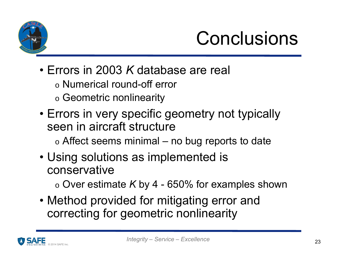![](_page_22_Picture_0.jpeg)

## Conclusions

- Errors in 2003 *K* database are real
	- $\circ$  Numerical round-off error
	- $\circ$  Geometric nonlinearity
- Errors in very specific geometry not typically seen in aircraft structure
	- $\circ$  Affect seems minimal no bug reports to date
- Using solutions as implemented is conservative

 $\circ$  Over estimate *K* by 4 - 650% for examples shown

• Method provided for mitigating error and correcting for geometric nonlinearity

![](_page_22_Picture_10.jpeg)